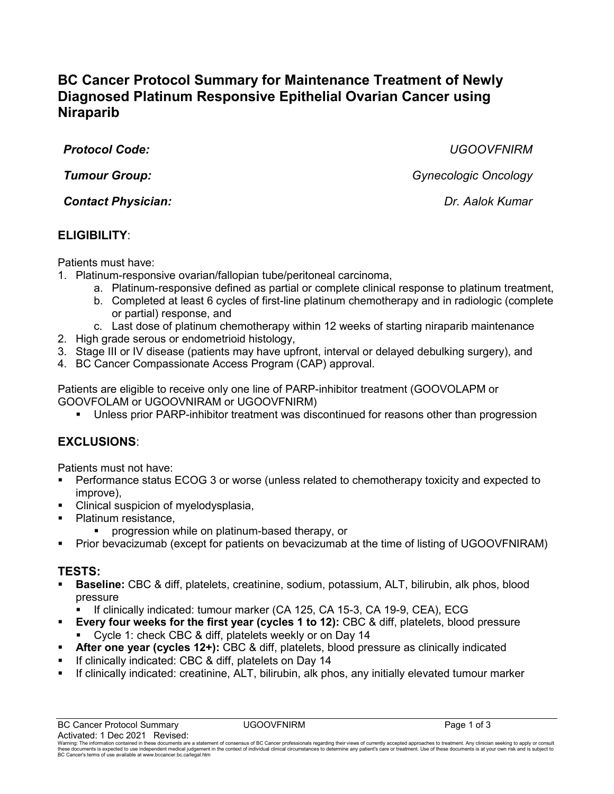# **BC Cancer Protocol Summary for Maintenance Treatment of Newly Diagnosed Platinum Responsive Epithelial Ovarian Cancer using Niraparib**

*Protocol Code: UGOOVFNIRM*

*Contact Physician: Dr. Aalok Kumar*

# **ELIGIBILITY**:

Patients must have:

- 1. Platinum-responsive ovarian/fallopian tube/peritoneal carcinoma,
	- a. Platinum-responsive defined as partial or complete clinical response to platinum treatment,
	- b. Completed at least 6 cycles of first-line platinum chemotherapy and in radiologic (complete or partial) response, and
	- c. Last dose of platinum chemotherapy within 12 weeks of starting niraparib maintenance
- 2. High grade serous or endometrioid histology,
- 3. Stage III or IV disease (patients may have upfront, interval or delayed debulking surgery), and
- 4. BC Cancer Compassionate Access Program (CAP) approval.

Patients are eligible to receive only one line of PARP-inhibitor treatment (GOOVOLAPM or GOOVFOLAM or UGOOVNIRAM or UGOOVFNIRM)

Unless prior PARP-inhibitor treatment was discontinued for reasons other than progression

# **EXCLUSIONS**:

Patients must not have:

- Performance status ECOG 3 or worse (unless related to chemotherapy toxicity and expected to improve),
- **Clinical suspicion of myelodysplasia,**
- Platinum resistance,
	- progression while on platinum-based therapy, or
- Prior bevacizumab (except for patients on bevacizumab at the time of listing of UGOOVFNIRAM)

## **TESTS:**

- **Baseline:** CBC & diff, platelets, creatinine, sodium, potassium, ALT, bilirubin, alk phos, blood pressure
	- If clinically indicated: tumour marker (CA 125, CA 15-3, CA 19-9, CEA), ECG
- **Every four weeks for the first year (cycles 1 to 12):** CBC & diff, platelets, blood pressure Cycle 1: check CBC & diff, platelets weekly or on Day 14
- **After one year (cycles 12+):** CBC & diff, platelets, blood pressure as clinically indicated
- **If clinically indicated: CBC & diff, platelets on Day 14**
- If clinically indicated: creatinine, ALT, bilirubin, alk phos, any initially elevated tumour marker

*Tumour Group: Gynecologic Oncology*

Warning. The information contained in these documents are a statement of consensus of BC Cancer professionals regarding their views of currently accepted approaches to treatment. Any dinician seeking to apply or consult of these documents is expected to use independent medical judgement<br>BC Cancer's terms of use available a[t www.bccancer.bc.ca/legal.htm](file://phsabc.ehcnet.ca/../../Legal.htm)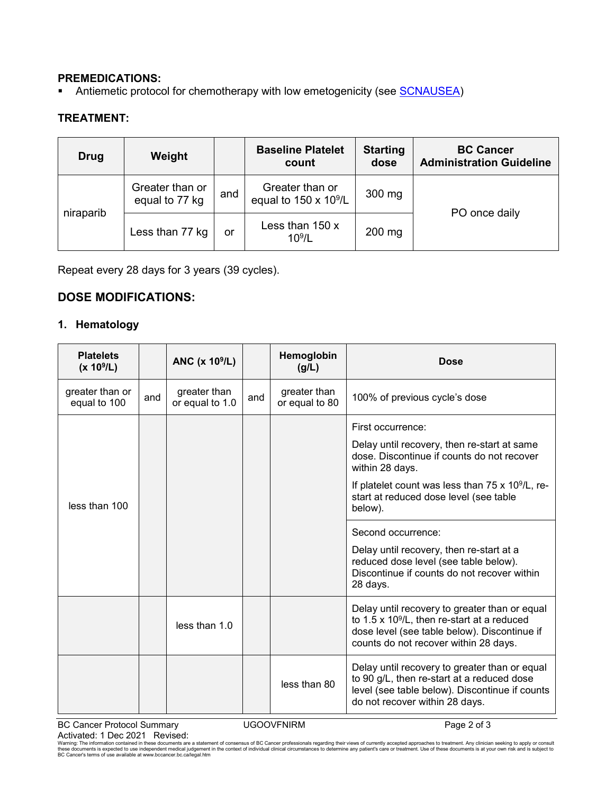#### **PREMEDICATIONS:**

Antiemetic protocol for chemotherapy with low emetogenicity (see [SCNAUSEA\)](http://www.bccancer.bc.ca/chemotherapy-protocols-site/Documents/Supportive%20Care/SCNAUSEA_Protocol.pdf)

#### **TREATMENT:**

| Drug      | Weight                            |     | <b>Baseline Platelet</b><br>count                |          | <b>BC Cancer</b><br><b>Administration Guideline</b> |
|-----------|-----------------------------------|-----|--------------------------------------------------|----------|-----------------------------------------------------|
| niraparib | Greater than or<br>equal to 77 kg | and | Greater than or<br>equal to $150 \times 10^9$ /L | 300 mg   |                                                     |
|           | Less than 77 kg                   | or  | Less than 150 x<br>10 <sup>9</sup> /L            | $200$ mg | PO once daily                                       |

Repeat every 28 days for 3 years (39 cycles).

### **DOSE MODIFICATIONS:**

### **1. Hematology**

| <b>Platelets</b><br>$(x 10^9/L)$ | ANC $(x 109/L)$ |                                 |     | Hemoglobin<br>(g/L)            | <b>Dose</b>                                                                                                                                                                                   |  |
|----------------------------------|-----------------|---------------------------------|-----|--------------------------------|-----------------------------------------------------------------------------------------------------------------------------------------------------------------------------------------------|--|
| greater than or<br>equal to 100  | and             | greater than<br>or equal to 1.0 | and | greater than<br>or equal to 80 | 100% of previous cycle's dose                                                                                                                                                                 |  |
|                                  |                 |                                 |     |                                | First occurrence:                                                                                                                                                                             |  |
|                                  |                 |                                 |     |                                | Delay until recovery, then re-start at same<br>dose. Discontinue if counts do not recover<br>within 28 days.                                                                                  |  |
| less than 100                    |                 |                                 |     |                                | If platelet count was less than $75 \times 10^9$ /L, re-<br>start at reduced dose level (see table<br>below).                                                                                 |  |
|                                  |                 |                                 |     |                                | Second occurrence:                                                                                                                                                                            |  |
|                                  |                 |                                 |     |                                | Delay until recovery, then re-start at a<br>reduced dose level (see table below).<br>Discontinue if counts do not recover within<br>28 days.                                                  |  |
|                                  |                 | less than $1.0$                 |     |                                | Delay until recovery to greater than or equal<br>to $1.5 \times 10^9$ /L, then re-start at a reduced<br>dose level (see table below). Discontinue if<br>counts do not recover within 28 days. |  |
|                                  |                 |                                 |     | less than 80                   | Delay until recovery to greater than or equal<br>to 90 g/L, then re-start at a reduced dose<br>level (see table below). Discontinue if counts<br>do not recover within 28 days.               |  |

BC Cancer Protocol Summary **UGOOVFNIRM DESIGNATION** Page 2 of 3 Activated: 1 Dec 2021 Revised:

Warning: The information contained in these documents are a statement of consensus of BC Cancer professionals regarding their views of currently accepted approaches to treatment. Any clinician seeking to apply or consult<br>t